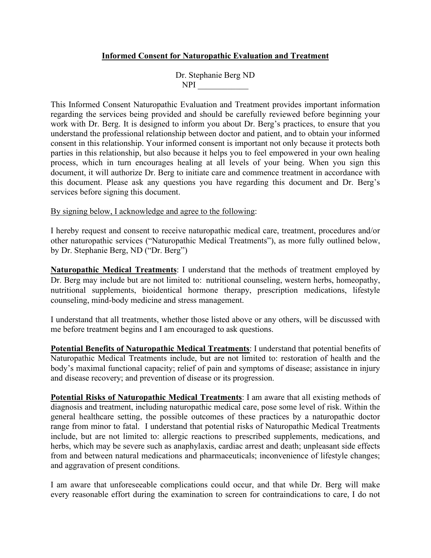## **Informed Consent for Naturopathic Evaluation and Treatment**

Dr. Stephanie Berg ND NPI  $\blacksquare$ 

This Informed Consent Naturopathic Evaluation and Treatment provides important information regarding the services being provided and should be carefully reviewed before beginning your work with Dr. Berg. It is designed to inform you about Dr. Berg's practices, to ensure that you understand the professional relationship between doctor and patient, and to obtain your informed consent in this relationship. Your informed consent is important not only because it protects both parties in this relationship, but also because it helps you to feel empowered in your own healing process, which in turn encourages healing at all levels of your being. When you sign this document, it will authorize Dr. Berg to initiate care and commence treatment in accordance with this document. Please ask any questions you have regarding this document and Dr. Berg's services before signing this document.

## By signing below, I acknowledge and agree to the following:

I hereby request and consent to receive naturopathic medical care, treatment, procedures and/or other naturopathic services ("Naturopathic Medical Treatments"), as more fully outlined below, by Dr. Stephanie Berg, ND ("Dr. Berg")

**Naturopathic Medical Treatments**: I understand that the methods of treatment employed by Dr. Berg may include but are not limited to: nutritional counseling, western herbs, homeopathy, nutritional supplements, bioidentical hormone therapy, prescription medications, lifestyle counseling, mind-body medicine and stress management.

I understand that all treatments, whether those listed above or any others, will be discussed with me before treatment begins and I am encouraged to ask questions.

**Potential Benefits of Naturopathic Medical Treatments**: I understand that potential benefits of Naturopathic Medical Treatments include, but are not limited to: restoration of health and the body's maximal functional capacity; relief of pain and symptoms of disease; assistance in injury and disease recovery; and prevention of disease or its progression.

**Potential Risks of Naturopathic Medical Treatments**: I am aware that all existing methods of diagnosis and treatment, including naturopathic medical care, pose some level of risk. Within the general healthcare setting, the possible outcomes of these practices by a naturopathic doctor range from minor to fatal. I understand that potential risks of Naturopathic Medical Treatments include, but are not limited to: allergic reactions to prescribed supplements, medications, and herbs, which may be severe such as anaphylaxis, cardiac arrest and death; unpleasant side effects from and between natural medications and pharmaceuticals; inconvenience of lifestyle changes; and aggravation of present conditions.

I am aware that unforeseeable complications could occur, and that while Dr. Berg will make every reasonable effort during the examination to screen for contraindications to care, I do not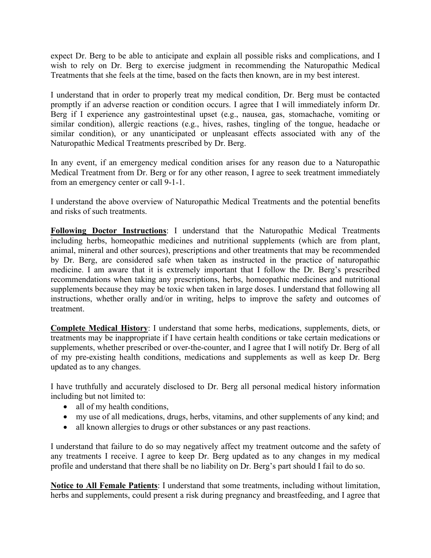expect Dr. Berg to be able to anticipate and explain all possible risks and complications, and I wish to rely on Dr. Berg to exercise judgment in recommending the Naturopathic Medical Treatments that she feels at the time, based on the facts then known, are in my best interest.

I understand that in order to properly treat my medical condition, Dr. Berg must be contacted promptly if an adverse reaction or condition occurs. I agree that I will immediately inform Dr. Berg if I experience any gastrointestinal upset (e.g., nausea, gas, stomachache, vomiting or similar condition), allergic reactions (e.g., hives, rashes, tingling of the tongue, headache or similar condition), or any unanticipated or unpleasant effects associated with any of the Naturopathic Medical Treatments prescribed by Dr. Berg.

In any event, if an emergency medical condition arises for any reason due to a Naturopathic Medical Treatment from Dr. Berg or for any other reason, I agree to seek treatment immediately from an emergency center or call 9-1-1.

I understand the above overview of Naturopathic Medical Treatments and the potential benefits and risks of such treatments.

**Following Doctor Instructions**: I understand that the Naturopathic Medical Treatments including herbs, homeopathic medicines and nutritional supplements (which are from plant, animal, mineral and other sources), prescriptions and other treatments that may be recommended by Dr. Berg, are considered safe when taken as instructed in the practice of naturopathic medicine. I am aware that it is extremely important that I follow the Dr. Berg's prescribed recommendations when taking any prescriptions, herbs, homeopathic medicines and nutritional supplements because they may be toxic when taken in large doses. I understand that following all instructions, whether orally and/or in writing, helps to improve the safety and outcomes of treatment.

**Complete Medical History**: I understand that some herbs, medications, supplements, diets, or treatments may be inappropriate if I have certain health conditions or take certain medications or supplements, whether prescribed or over-the-counter, and I agree that I will notify Dr. Berg of all of my pre-existing health conditions, medications and supplements as well as keep Dr. Berg updated as to any changes.

I have truthfully and accurately disclosed to Dr. Berg all personal medical history information including but not limited to:

- all of my health conditions,
- my use of all medications, drugs, herbs, vitamins, and other supplements of any kind; and
- all known allergies to drugs or other substances or any past reactions.

I understand that failure to do so may negatively affect my treatment outcome and the safety of any treatments I receive. I agree to keep Dr. Berg updated as to any changes in my medical profile and understand that there shall be no liability on Dr. Berg's part should I fail to do so.

**Notice to All Female Patients**: I understand that some treatments, including without limitation, herbs and supplements, could present a risk during pregnancy and breastfeeding, and I agree that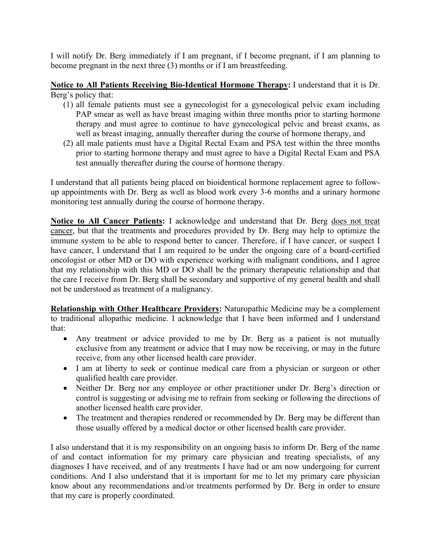I will notify Dr. Berg immediately if I am pregnant, if I become pregnant, if I am planning to become pregnant in the next three (3) months or if I am breastfeeding.

**Notice to All Patients Receiving Bio-Identical Hormone Therapy:** I understand that it is Dr. Berg's policy that:

- (1) all female patients must see a gynecologist for a gynecological pelvic exam including PAP smear as well as have breast imaging within three months prior to starting hormone therapy and must agree to continue to have gynecological pelvic and breast exams, as well as breast imaging, annually thereafter during the course of hormone therapy, and
- (2) all male patients must have a Digital Rectal Exam and PSA test within the three months prior to starting hormone therapy and must agree to have a Digital Rectal Exam and PSA test annually thereafter during the course of hormone therapy.

I understand that all patients being placed on bioidentical hormone replacement agree to followup appointments with Dr. Berg as well as blood work every 3-6 months and a urinary hormone monitoring test annually during the course of hormone therapy.

**Notice to All Cancer Patients:** I acknowledge and understand that Dr. Berg does not treat cancer, but that the treatments and procedures provided by Dr. Berg may help to optimize the immune system to be able to respond better to cancer. Therefore, if I have cancer, or suspect I have cancer, I understand that I am required to be under the ongoing care of a board-certified oncologist or other MD or DO with experience working with malignant conditions, and I agree that my relationship with this MD or DO shall be the primary therapeutic relationship and that the care I receive from Dr. Berg shall be secondary and supportive of my general health and shall not be understood as treatment of a malignancy.

**Relationship with Other Healthcare Providers:** Naturopathic Medicine may be a complement to traditional allopathic medicine. I acknowledge that I have been informed and I understand that:

- Any treatment or advice provided to me by Dr. Berg as a patient is not mutually exclusive from any treatment or advice that I may now be receiving, or may in the future receive, from any other licensed health care provider.
- I am at liberty to seek or continue medical care from a physician or surgeon or other qualified health care provider.
- Neither Dr. Berg nor any employee or other practitioner under Dr. Berg's direction or control is suggesting or advising me to refrain from seeking or following the directions of another licensed health care provider.
- The treatment and therapies rendered or recommended by Dr. Berg may be different than those usually offered by a medical doctor or other licensed health care provider.

I also understand that it is my responsibility on an ongoing basis to inform Dr. Berg of the name of and contact information for my primary care physician and treating specialists, of any diagnoses I have received, and of any treatments I have had or am now undergoing for current conditions. And I also understand that it is important for me to let my primary care physician know about any recommendations and/or treatments performed by Dr. Berg in order to ensure that my care is properly coordinated.